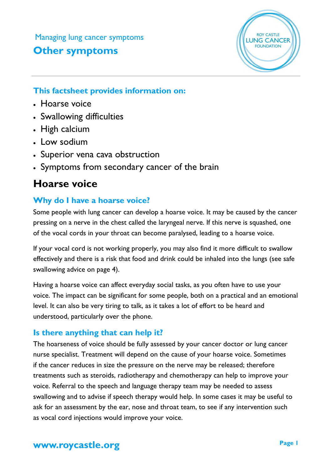Managing lung cancer symptoms

## **Other symptoms**



## **This factsheet provides information on:**

- Hoarse voice
- Swallowing difficulties
- High calcium
- Low sodium
- Superior vena cava obstruction
- Symptoms from secondary cancer of the brain

# **Hoarse voice**

## **Why do I have a hoarse voice?**

Some people with lung cancer can develop a hoarse voice. It may be caused by the cancer pressing on a nerve in the chest called the laryngeal nerve. If this nerve is squashed, one of the vocal cords in your throat can become paralysed, leading to a hoarse voice.

If your vocal cord is not working properly, you may also find it more difficult to swallow effectively and there is a risk that food and drink could be inhaled into the lungs (see safe swallowing advice on page 4).

Having a hoarse voice can affect everyday social tasks, as you often have to use your voice. The impact can be significant for some people, both on a practical and an emotional level. It can also be very tiring to talk, as it takes a lot of effort to be heard and understood, particularly over the phone.

## **Is there anything that can help it?**

The hoarseness of voice should be fully assessed by your cancer doctor or lung cancer nurse specialist. Treatment will depend on the cause of your hoarse voice. Sometimes if the cancer reduces in size the pressure on the nerve may be released; therefore treatments such as steroids, radiotherapy and chemotherapy can help to improve your voice. Referral to the speech and language therapy team may be needed to assess swallowing and to advise if speech therapy would help. In some cases it may be useful to ask for an assessment by the ear, nose and throat team, to see if any intervention such as vocal cord injections would improve your voice.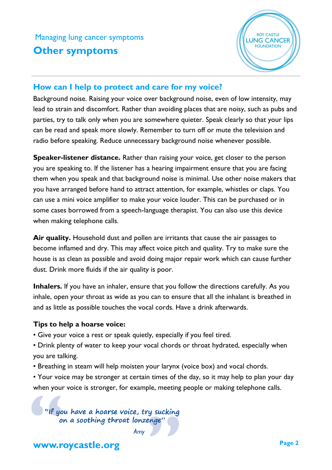

#### **How can I help to protect and care for my voice?**

Background noise. Raising your voice over background noise, even of low intensity, may lead to strain and discomfort. Rather than avoiding places that are noisy, such as pubs and parties, try to talk only when you are somewhere quieter. Speak clearly so that your lips can be read and speak more slowly. Remember to turn off or mute the television and radio before speaking. Reduce unnecessary background noise whenever possible.

**Speaker-listener distance.** Rather than raising your voice, get closer to the person you are speaking to. If the listener has a hearing impairment ensure that you are facing them when you speak and that background noise is minimal. Use other noise makers that you have arranged before hand to attract attention, for example, whistles or claps. You can use a mini voice amplifier to make your voice louder. This can be purchased or in some cases borrowed from a speech-language therapist. You can also use this device when making telephone calls.

**Air quality.** Household dust and pollen are irritants that cause the air passages to become inflamed and dry. This may affect voice pitch and quality. Try to make sure the house is as clean as possible and avoid doing major repair work which can cause further dust. Drink more fluids if the air quality is poor.

**Inhalers.** If you have an inhaler, ensure that you follow the directions carefully. As you inhale, open your throat as wide as you can to ensure that all the inhalant is breathed in and as little as possible touches the vocal cords. Have a drink afterwards.

#### **Tips to help a hoarse voice:**

- Give your voice a rest or speak quietly, especially if you feel tired.
- Drink plenty of water to keep your vocal chords or throat hydrated, especially when you are talking.
- Breathing in steam will help moisten your larynx (voice box) and vocal chords.
- Your voice may be stronger at certain times of the day, so it may help to plan your day when your voice is stronger, for example, meeting people or making telephone calls.

"If you have a hoarse voice, try sucking on a soothing throat lonzenge'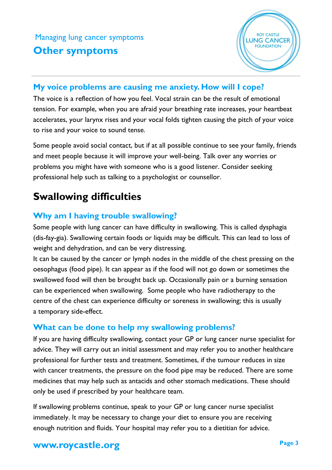

#### **My voice problems are causing me anxiety. How will I cope?**

The voice is a reflection of how you feel. Vocal strain can be the result of emotional tension. For example, when you are afraid your breathing rate increases, your heartbeat accelerates, your larynx rises and your vocal folds tighten causing the pitch of your voice to rise and your voice to sound tense.

Some people avoid social contact, but if at all possible continue to see your family, friends and meet people because it will improve your well-being. Talk over any worries or problems you might have with someone who is a good listener. Consider seeking professional help such as talking to a psychologist or counsellor.

# **Swallowing difficulties**

## **Why am I having trouble swallowing?**

Some people with lung cancer can have difficulty in swallowing. This is called dysphagia (dis-fay-gia). Swallowing certain foods or liquids may be difficult. This can lead to loss of weight and dehydration, and can be very distressing.

It can be caused by the cancer or lymph nodes in the middle of the chest pressing on the oesophagus (food pipe). It can appear as if the food will not go down or sometimes the swallowed food will then be brought back up. Occasionally pain or a burning sensation can be experienced when swallowing. Some people who have radiotherapy to the centre of the chest can experience difficulty or soreness in swallowing; this is usually a temporary side-effect.

### **What can be done to help my swallowing problems?**

If you are having difficulty swallowing, contact your GP or lung cancer nurse specialist for advice. They will carry out an initial assessment and may refer you to another healthcare professional for further tests and treatment. Sometimes, if the tumour reduces in size with cancer treatments, the pressure on the food pipe may be reduced. There are some medicines that may help such as antacids and other stomach medications. These should only be used if prescribed by your healthcare team.

If swallowing problems continue, speak to your GP or lung cancer nurse specialist immediately. It may be necessary to change your diet to ensure you are receiving enough nutrition and fluids. Your hospital may refer you to a dietitian for advice.

## **www.roycastle.org Page 3**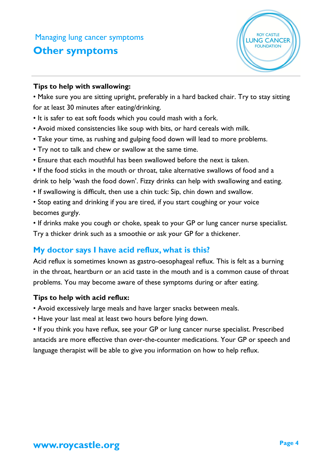

#### **Tips to help with swallowing:**

• Make sure you are sitting upright, preferably in a hard backed chair. Try to stay sitting for at least 30 minutes after eating/drinking.

- It is safer to eat soft foods which you could mash with a fork.
- Avoid mixed consistencies like soup with bits, or hard cereals with milk.
- Take your time, as rushing and gulping food down will lead to more problems.
- Try not to talk and chew or swallow at the same time.
- Ensure that each mouthful has been swallowed before the next is taken.
- If the food sticks in the mouth or throat, take alternative swallows of food and a drink to help 'wash the food down'. Fizzy drinks can help with swallowing and eating.
- If swallowing is difficult, then use a chin tuck: Sip, chin down and swallow.
- Stop eating and drinking if you are tired, if you start coughing or your voice becomes gurgly.

• If drinks make you cough or choke, speak to your GP or lung cancer nurse specialist. Try a thicker drink such as a smoothie or ask your GP for a thickener.

### **My doctor says I have acid reflux, what is this?**

Acid reflux is sometimes known as gastro-oesophageal reflux. This is felt as a burning in the throat, heartburn or an acid taste in the mouth and is a common cause of throat problems. You may become aware of these symptoms during or after eating.

#### **Tips to help with acid reflux:**

- Avoid excessively large meals and have larger snacks between meals.
- Have your last meal at least two hours before lying down.

• If you think you have reflux, see your GP or lung cancer nurse specialist. Prescribed antacids are more effective than over-the-counter medications. Your GP or speech and language therapist will be able to give you information on how to help reflux.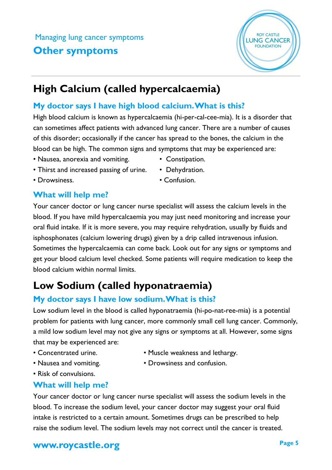## **High Calcium (called hypercalcaemia)**

## **My doctor says I have high blood calcium. What is this?**

High blood calcium is known as hypercalcaemia (hi-per-cal-cee-mia). It is a disorder that can sometimes affect patients with advanced lung cancer. There are a number of causes of this disorder; occasionally if the cancer has spread to the bones, the calcium in the blood can be high. The common signs and symptoms that may be experienced are:

- Nausea, anorexia and vomiting. Constipation.
- Thirst and increased passing of urine. Dehydration.
	-

## **What will help me?**

Your cancer doctor or lung cancer nurse specialist will assess the calcium levels in the blood. If you have mild hypercalcaemia you may just need monitoring and increase your oral fluid intake. If it is more severe, you may require rehydration, usually by fluids and isphosphonates (calcium lowering drugs) given by a drip called intravenous infusion. Sometimes the hypercalcaemia can come back. Look out for any signs or symptoms and get your blood calcium level checked. Some patients will require medication to keep the blood calcium within normal limits.

# **Low Sodium (called hyponatraemia)**

## **My doctor says I have low sodium. What is this?**

Low sodium level in the blood is called hyponatraemia (hi-po-nat-ree-mia) is a potential problem for patients with lung cancer, more commonly small cell lung cancer. Commonly, a mild low sodium level may not give any signs or symptoms at all. However, some signs that may be experienced are:

- 
- 
- Concentrated urine. • Muscle weakness and lethargy.
- Nausea and vomiting. Drowsiness and confusion.
- Risk of convulsions.

## **What will help me?**

Your cancer doctor or lung cancer nurse specialist will assess the sodium levels in the blood. To increase the sodium level, your cancer doctor may suggest your oral fluid intake is restricted to a certain amount. Sometimes drugs can be prescribed to help raise the sodium level. The sodium levels may not correct until the cancer is treated.

- 
- 
- Drowsiness. Confusion.

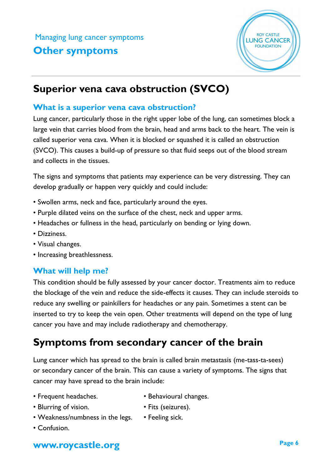

## **Superior vena cava obstruction (SVCO)**

#### **What is a superior vena cava obstruction?**

Lung cancer, particularly those in the right upper lobe of the lung, can sometimes block a large vein that carries blood from the brain, head and arms back to the heart. The vein is called superior vena cava. When it is blocked or squashed it is called an obstruction (SVCO). This causes a build-up of pressure so that fluid seeps out of the blood stream and collects in the tissues.

The signs and symptoms that patients may experience can be very distressing. They can develop gradually or happen very quickly and could include:

- Swollen arms, neck and face, particularly around the eyes.
- Purple dilated veins on the surface of the chest, neck and upper arms.
- Headaches or fullness in the head, particularly on bending or lying down.
- Dizziness.
- Visual changes.
- Increasing breathlessness.

### **What will help me?**

This condition should be fully assessed by your cancer doctor. Treatments aim to reduce the blockage of the vein and reduce the side-effects it causes. They can include steroids to reduce any swelling or painkillers for headaches or any pain. Sometimes a stent can be inserted to try to keep the vein open. Other treatments will depend on the type of lung cancer you have and may include radiotherapy and chemotherapy.

## **Symptoms from secondary cancer of the brain**

Lung cancer which has spread to the brain is called brain metastasis (me-tass-ta-sees) or secondary cancer of the brain. This can cause a variety of symptoms. The signs that cancer may have spread to the brain include:

- Frequent headaches. • Behavioural changes.
	-
- Blurring of vision. • Fits (seizures).
	-
- Weakness/numbness in the legs. Feeling sick.
- Confusion.

## **www.roycastle.org Page 6**